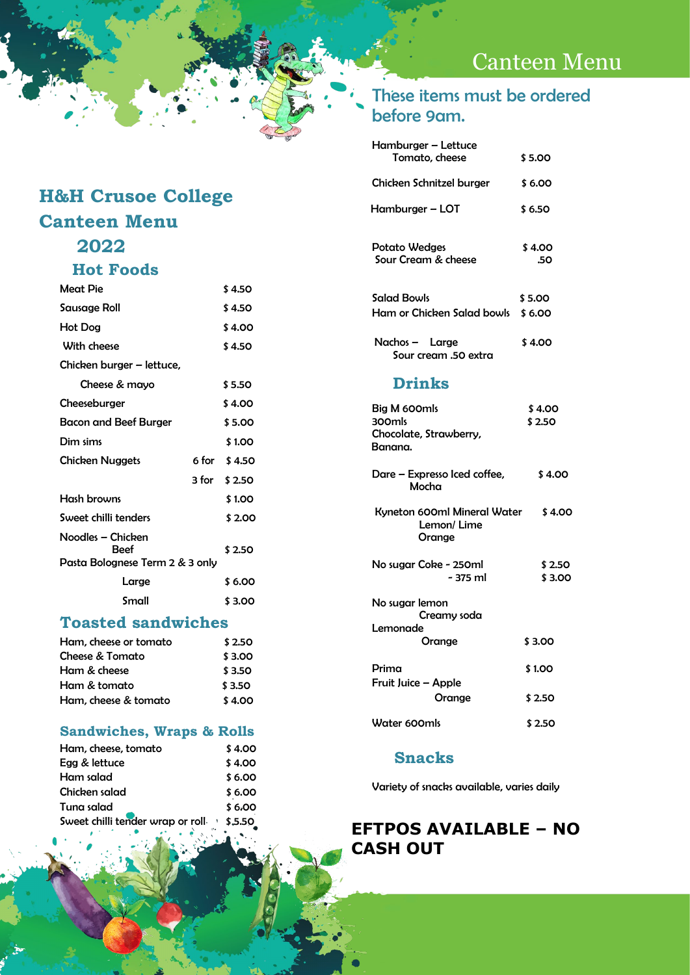## Canteen Menu

### **H&H Crusoe College Canteen Menu 2022**

### **Hot Foods**

| Meat Pie                                                     | \$ 4.50      |
|--------------------------------------------------------------|--------------|
| Sausage Roll                                                 | \$ 4.50      |
| Hot Dog                                                      | \$4.00       |
| With cheese                                                  | \$ 4.50      |
| Chicken burger – lettuce,                                    |              |
| Cheese & mayo                                                | \$5.50       |
| Cheeseburger                                                 | \$ 4.00      |
| Bacon and Beef Burger                                        | \$5.00       |
| Dim sims                                                     | \$1.00       |
| <b>Chicken Nuggets</b>                                       | 6 for \$4.50 |
|                                                              | 3 for \$2.50 |
| Hash browns                                                  | \$1.00       |
| Sweet chilli tenders                                         | \$ 2.00      |
| Noodles – Chicken<br>Beef<br>Pasta Bolognese Term 2 & 3 only | \$2.50       |
| Large                                                        | \$6.00       |
| Small                                                        | \$3.00       |

#### **Toasted sandwiches**

| Ham, cheese or tomato | \$2.50 |  |
|-----------------------|--------|--|
| Cheese & Tomato       | \$3.00 |  |
| Ham & cheese          | \$3.50 |  |
| Ham & tomato          | \$3.50 |  |
| Ham, cheese & tomato  | \$4.00 |  |

#### **Sandwiches, Wraps & Rolls**

| Ham, cheese, tomato                     | \$4.00 |
|-----------------------------------------|--------|
| Egg & lettuce                           | \$4.00 |
| Ham salad                               | \$6.00 |
| Chicken salad                           | \$6.00 |
| Tuna salad                              | \$6.00 |
| Sweet chilli tender wrap or roll \$5.50 |        |

#### These items must be ordered before 9am.

| Hamburger - Lettuce<br>Tomato, cheese                       | \$5.00           |
|-------------------------------------------------------------|------------------|
| Chicken Schnitzel burger                                    | \$6.00           |
| Hamburger – LOT                                             | \$6.50           |
| <b>Potato Wedges</b><br>Sour Cream & cheese                 | \$4.00<br>.50    |
| Salad Bowls                                                 | \$5.00           |
| Ham or Chicken Salad bowls \$6.00                           |                  |
| Nachos - Large<br>Sour cream .50 extra                      | \$4.00           |
| <b>Drinks</b>                                               |                  |
| Big M 600mls<br>300mls<br>Chocolate, Strawberry,<br>Banana. | \$4.00<br>\$2.50 |
| Dare - Expresso Iced coffee,<br>Mocha                       | \$4.00           |
| Kyneton 600ml Mineral Water<br>Lemon/Lime<br>Orange         | \$4.00           |
| No sugar Coke - 250ml<br>$-375$ ml                          | \$2.50<br>\$3.00 |
| No sugar lemon<br>Creamy soda                               |                  |

| Lemonade                     |         |
|------------------------------|---------|
| Orange                       | \$3.00  |
| Prima<br>Fruit Juice – Apple | \$1.00  |
| Orange                       | \$2.50  |
| Water 600mls                 | \$ 2.50 |

#### **Snacks**

Variety of snacks available, varies daily

#### **EFTPOS AVAILABLE – NO CASH OUT**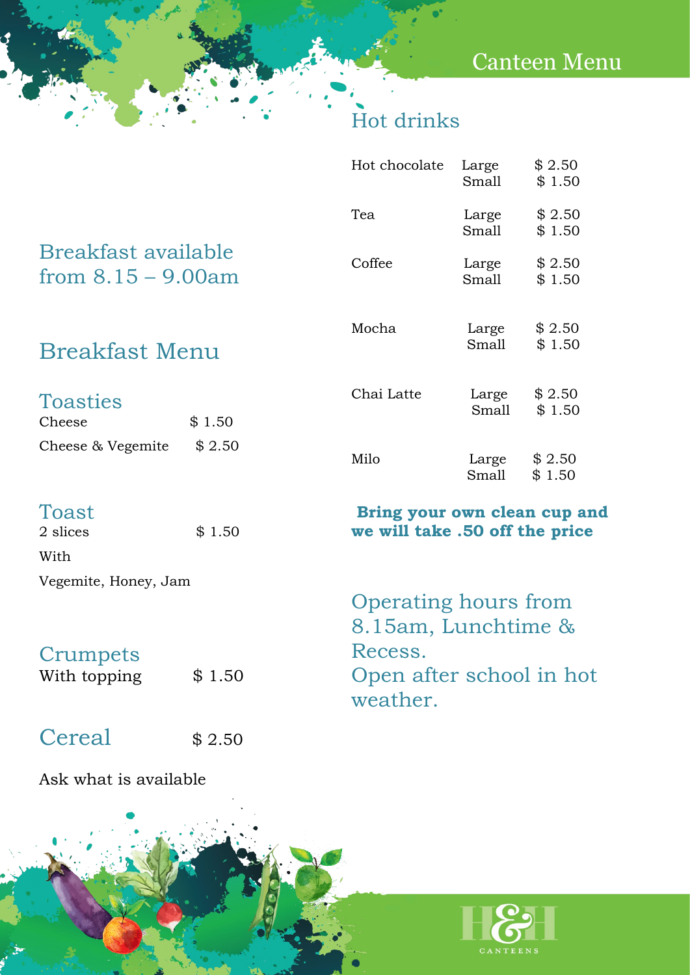## Canteen Menu

## Hot drinks

| With                                         |        |               |                                                                |                  |
|----------------------------------------------|--------|---------------|----------------------------------------------------------------|------------------|
| Toast<br>2 slices                            | \$1.50 |               | Bring your own clean cup and<br>we will take .50 off the price |                  |
| Cheese & Vegemite                            | \$2.50 | Milo          | Large<br>Small                                                 | \$2.50<br>\$1.50 |
| <b>Toasties</b><br>Cheese                    | \$1.50 | Chai Latte    | Large<br>Small                                                 | \$2.50<br>\$1.50 |
| <b>Breakfast Menu</b>                        |        | Mocha         | Large<br>Small                                                 | \$2.50<br>\$1.50 |
| Breakfast available<br>from $8.15 - 9.00$ am |        | Coffee        | Large<br>Small                                                 | \$2.50<br>\$1.50 |
|                                              |        | Tea           | Large<br>Small                                                 | \$2.50<br>\$1.50 |
|                                              |        | Hot chocolate | Large<br>Small                                                 | \$2.50<br>\$1.50 |

Vegemite, Honey, Jam

## **Crumpets**

With topping  $$1.50$ 

Cereal  $$ 2.50$ 

Ask what is available

| CANTEENS |  |
|----------|--|

Operating hours from

8.15am, Lunchtime &

Open after school in hot

Recess.

weather.